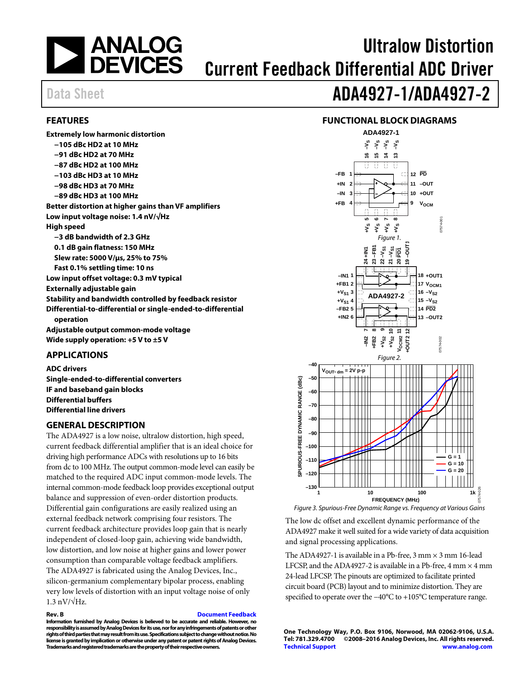

# Ultralow Distortion Current Feedback Differential ADC Driver

# Data Sheet **ADA4927-1/ADA4927-2**

## <span id="page-0-0"></span>**FEATURES**

## **FUNCTIONAL BLOCK DIAGRAMS**

| <b>Extremely low harmonic distortion</b>                                  |
|---------------------------------------------------------------------------|
| $-105$ dBc HD2 at 10 MHz                                                  |
| $-91$ dBc HD2 at 70 MHz                                                   |
| $-87$ dBc HD2 at 100 MHz                                                  |
| $-103$ dBc HD3 at 10 MHz                                                  |
| $-98$ dBc HD3 at 70 MHz                                                   |
| $-89$ dBc HD3 at 100 MHz                                                  |
| Better distortion at higher gains than VF amplifiers                      |
| Low input voltage noise: 1.4 nV/√Hz                                       |
| High speed                                                                |
| $-3$ dB bandwidth of 2.3 GHz                                              |
| 0.1 dB gain flatness: 150 MHz                                             |
| Slew rate: 5000 V/µs, 25% to 75%                                          |
| Fast 0.1% settling time: 10 ns                                            |
| Low input offset voltage: 0.3 mV typical                                  |
| Externally adjustable gain                                                |
| Stability and bandwidth controlled by feedback resistor                   |
| Differential-to-differential or single-ended-to-differential<br>operation |
| Adjustable output common-mode voltage                                     |
| Wide supply operation: $+5$ V to $\pm 5$ V                                |

### <span id="page-0-1"></span>**APPLICATIONS**

**ADC drivers Single-ended-to-differential converters IF and baseband gain blocks Differential buffers Differential line drivers**

## <span id="page-0-2"></span>**GENERAL DESCRIPTION**

The ADA4927 is a low noise, ultralow distortion, high speed, current feedback differential amplifier that is an ideal choice for driving high performance ADCs with resolutions up to 16 bits from dc to 100 MHz. The output common-mode level can easily be matched to the required ADC input common-mode levels. The internal common-mode feedback loop provides exceptional output balance and suppression of even-order distortion products. Differential gain configurations are easily realized using an external feedback network comprising four resistors. The current feedback architecture provides loop gain that is nearly independent of closed-loop gain, achieving wide bandwidth, low distortion, and low noise at higher gains and lower power consumption than comparable voltage feedback amplifiers. The ADA4927 is fabricated using the Analog Devices, Inc., silicon-germanium complementary bipolar process, enabling very low levels of distortion with an input voltage noise of only  $1.3 \text{ nV}/\sqrt{\text{Hz}}$ .

#### **Rev. B [Document Feedback](https://form.analog.com/Form_Pages/feedback/documentfeedback.aspx?doc=ADA4927-1_4927-2.pdf&product=ADA4927-1_4927-2&rev=B)**

**Information furnished by Analog Devices is believed to be accurate and reliable. However, no responsibility is assumed by Analog Devices for its use, nor for any infringements of patents or other rights of third parties that may result from its use. Specifications subject to change without notice. No license is granted byimplication or otherwise under any patent or patent rights of Analog Devices. Trademarks and registered trademarks are the property of their respective owners.**

<span id="page-0-3"></span>

The low dc offset and excellent dynamic performance of the ADA4927 make it well suited for a wide variety of data acquisition and signal processing applications.

The ADA4927-1 is available in a Pb-free,  $3 \text{ mm} \times 3 \text{ mm}$  16-lead LFCSP, and the ADA4927-2 is available in a Pb-free,  $4 \text{ mm} \times 4 \text{ mm}$ 24-lead LFCSP. The pinouts are optimized to facilitate printed circuit board (PCB) layout and to minimize distortion. They are specified to operate over the −40°C to +105°C temperature range.

**One Technology Way, P.O. Box 9106, Norwood, MA 02062-9106, U.S.A. Tel: 781.329.4700 ©2008–2016 Analog Devices, Inc. All rights reserved. [Technical Support](http://www.analog.com/en/content/technical_support_page/fca.html) [www.analog.com](http://www.analog.com/)**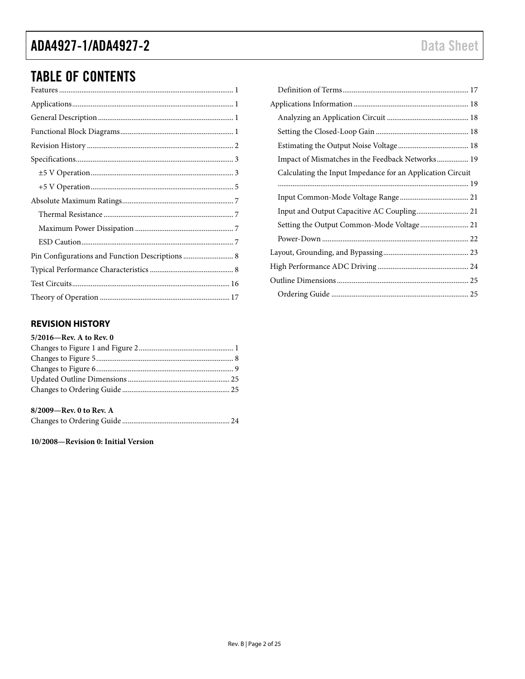# TABLE OF CONTENTS

| Pin Configurations and Function Descriptions  8 |
|-------------------------------------------------|
|                                                 |
|                                                 |
|                                                 |

## <span id="page-1-0"></span>**REVISION HISTORY**

| 5/2016-Rev. A to Rev. 0 |  |
|-------------------------|--|
|                         |  |
|                         |  |
|                         |  |
|                         |  |
|                         |  |

## **8/2009—Rev. 0 to Rev. A**

Changes to Ordering Guide .......................................................... 24

**10/2008—Revision 0: Initial Version**

| Impact of Mismatches in the Feedback Networks 19           |
|------------------------------------------------------------|
| Calculating the Input Impedance for an Application Circuit |
|                                                            |
|                                                            |
|                                                            |
| Setting the Output Common-Mode Voltage 21                  |
|                                                            |
|                                                            |
|                                                            |
|                                                            |
|                                                            |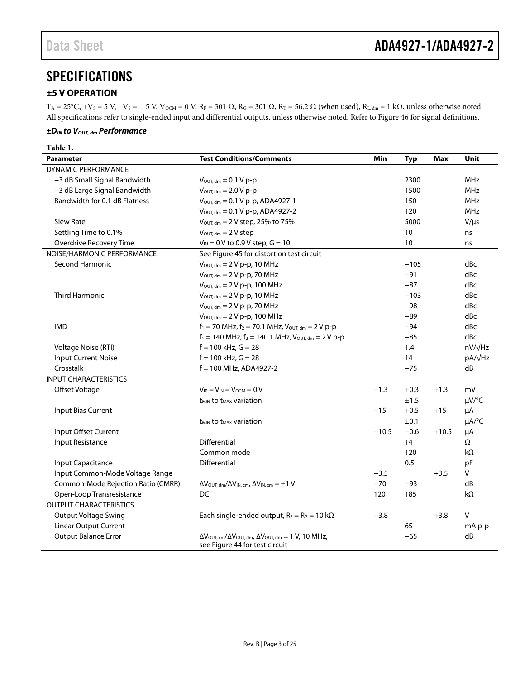## <span id="page-2-0"></span>**SPECIFICATIONS**

## <span id="page-2-1"></span>**±5 V OPERATION**

 $T_A = 25^{\circ}C$ , +V<sub>S</sub> = 5 V, -V<sub>S</sub> = - 5 V, V<sub>OCM</sub> = 0 V, R<sub>F</sub> = 301 Ω, R<sub>G</sub> = 301 Ω, R<sub>T</sub> = 56.2 Ω (when used), R<sub>L, dm</sub> = 1 kΩ, unless otherwise noted. All specifications refer to single-ended input and differential outputs, unless otherwise noted. Refer to [Figure 46](#page-16-2) for signal definitions.

#### $±D<sub>IN</sub>$  *to*  $V<sub>OUT, dm</sub>$  Performance

| Table 1.                           |                                                                                                     |         |            |         |            |
|------------------------------------|-----------------------------------------------------------------------------------------------------|---------|------------|---------|------------|
| <b>Parameter</b>                   | <b>Test Conditions/Comments</b>                                                                     | Min     | <b>Typ</b> | Max     | Unit       |
| <b>DYNAMIC PERFORMANCE</b>         |                                                                                                     |         |            |         |            |
| -3 dB Small Signal Bandwidth       | $V_{\text{OUT. dm}} = 0.1 V p-p$                                                                    |         | 2300       |         | <b>MHz</b> |
| -3 dB Large Signal Bandwidth       | $V_{\text{OUT, dm}} = 2.0 V p-p$                                                                    |         | 1500       |         | <b>MHz</b> |
| Bandwidth for 0.1 dB Flatness      | $V_{\text{OUT, dm}} = 0.1 V p-p$ , ADA4927-1                                                        |         | 150        |         | MHz        |
|                                    | $V_{\text{OUT, dm}} = 0.1 V p-p$ , ADA4927-2                                                        |         | 120        |         | MHz        |
| <b>Slew Rate</b>                   | $V_{\text{OUT, dm}} = 2 V$ step, 25% to 75%                                                         |         | 5000       |         | $V/\mu s$  |
| Settling Time to 0.1%              | $V_{\text{OUT, dm}} = 2V$ step                                                                      |         | 10         |         | ns         |
| Overdrive Recovery Time            | $V_{IN} = 0 V$ to 0.9 V step, $G = 10$                                                              |         | 10         |         | ns         |
| NOISE/HARMONIC PERFORMANCE         | See Figure 45 for distortion test circuit                                                           |         |            |         |            |
| <b>Second Harmonic</b>             | $V_{\text{OUT, dm}} = 2 V p-p$ , 10 MHz                                                             |         | $-105$     |         | dBc        |
|                                    | $V_{\text{OUT, dm}} = 2 V p-p$ , 70 MHz                                                             |         | $-91$      |         | dBc        |
|                                    | $V_{\text{OUT, dm}} = 2 V p-p$ , 100 MHz                                                            |         | $-87$      |         | dBc        |
| <b>Third Harmonic</b>              | $V_{\text{OUT, dm}} = 2 V p-p$ , 10 MHz                                                             |         | $-103$     |         | dBc        |
|                                    | $V_{\text{OUT, dm}} = 2 V p-p$ , 70 MHz                                                             |         | $-98$      |         | dBc        |
|                                    | $V_{\text{OUT, dm}} = 2 V p-p$ , 100 MHz                                                            |         | $-89$      |         | dBc        |
| <b>IMD</b>                         | $f_1 = 70$ MHz, $f_2 = 70.1$ MHz, $V_{\text{OUT, dm}} = 2 V p-p$                                    |         | $-94$      |         | dBc        |
|                                    | $f_1 = 140$ MHz, $f_2 = 140.1$ MHz, $V_{\text{OUT, dm}} = 2 V p-p$                                  |         | $-85$      |         | dBc        |
| Voltage Noise (RTI)                | $f = 100$ kHz, $G = 28$                                                                             |         | 1.4        |         | nV/√Hz     |
| <b>Input Current Noise</b>         | $f = 100$ kHz, $G = 28$                                                                             |         | 14         |         | pA/√Hz     |
| Crosstalk                          | $f = 100$ MHz, ADA4927-2                                                                            |         | $-75$      |         | dB         |
| <b>INPUT CHARACTERISTICS</b>       |                                                                                                     |         |            |         |            |
| Offset Voltage                     | $V_{IP} = V_{IN} = V_{OCM} = 0 V$                                                                   | $-1.3$  | $+0.3$     | $+1.3$  | mV         |
|                                    | <b>t<sub>MIN</sub></b> to t <sub>MAX</sub> variation                                                |         | ±1.5       |         | µV/°C      |
| Input Bias Current                 |                                                                                                     | $-15$   | $+0.5$     | $+15$   | μA         |
|                                    | <b>t<sub>MIN</sub></b> to t <sub>MAX</sub> variation                                                |         | ±0.1       |         | µA/°C      |
| Input Offset Current               |                                                                                                     | $-10.5$ | $-0.6$     | $+10.5$ | μA         |
| Input Resistance                   | Differential                                                                                        |         | 14         |         | Ω          |
|                                    | Common mode                                                                                         |         | 120        |         | kΩ         |
| Input Capacitance                  | <b>Differential</b>                                                                                 |         | 0.5        |         | pF         |
| Input Common-Mode Voltage Range    |                                                                                                     | $-3.5$  |            | $+3.5$  | v          |
| Common-Mode Rejection Ratio (CMRR) | $\Delta V_{\text{OUT, dm}}/\Delta V_{\text{IN, cm}}$ , $\Delta V_{\text{IN, cm}} = \pm 1 \text{ V}$ | $-70$   | $-93$      |         | dB         |
| Open-Loop Transresistance          | DC                                                                                                  | 120     | 185        |         | $k\Omega$  |
| <b>OUTPUT CHARACTERISTICS</b>      |                                                                                                     |         |            |         |            |
| <b>Output Voltage Swing</b>        | Each single-ended output, $R_F = R_G = 10 \text{ k}\Omega$                                          | $-3.8$  |            | $+3.8$  | v          |
| <b>Linear Output Current</b>       |                                                                                                     |         | 65         |         | $mA$ p-p   |
| <b>Output Balance Error</b>        | $\Delta V_{\text{OUT, cm}}/\Delta V_{\text{OUT, dm}}$ , $\Delta V_{\text{OUT, dm}} = 1$ V, 10 MHz,  |         | $-65$      |         | dB         |
|                                    | see Figure 44 for test circuit                                                                      |         |            |         |            |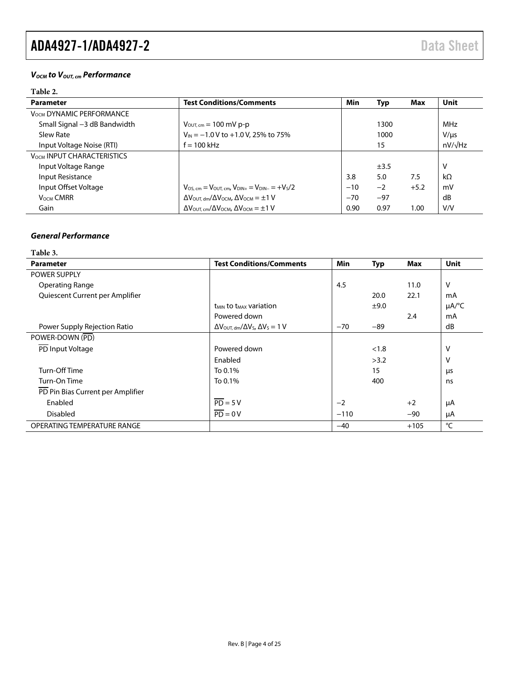### *VOCM to VOUT, cm Performance*

## **Table 2.**

| <b>Parameter</b>                  | <b>Test Conditions/Comments</b>                                                               | Min   | <b>Typ</b> | Max    | <b>Unit</b>    |
|-----------------------------------|-----------------------------------------------------------------------------------------------|-------|------------|--------|----------------|
| <b>VOCM DYNAMIC PERFORMANCE</b>   |                                                                                               |       |            |        |                |
| Small Signal -3 dB Bandwidth      | $V_{\text{OUT, cm}} = 100 \text{ mV p-p}$                                                     |       | 1300       |        | <b>MHz</b>     |
| Slew Rate                         | $V_{IN} = -1.0 V$ to +1.0 V, 25% to 75%                                                       |       | 1000       |        | $V/\mu s$      |
| Input Voltage Noise (RTI)         | $f = 100$ kHz                                                                                 |       | 15         |        | $nV/\sqrt{Hz}$ |
| <b>VOCM INPUT CHARACTERISTICS</b> |                                                                                               |       |            |        |                |
| Input Voltage Range               |                                                                                               |       | $\pm$ 3.5  |        | ν              |
| Input Resistance                  |                                                                                               | 3.8   | 5.0        | 7.5    | $k\Omega$      |
| Input Offset Voltage              | $V_{OS, cm} = V_{OUT, cm}$ , $V_{DIN+} = V_{DIN-} = +V_S/2$                                   | $-10$ | $-2$       | $+5.2$ | mV             |
| <b>VOCM CMRR</b>                  | $\Delta V_{\text{OUT, dm}}/\Delta V_{\text{OCM}}$ , $\Delta V_{\text{OCM}} = \pm 1 \text{ V}$ | $-70$ | $-97$      |        | dB             |
| Gain                              | $\Delta V_{\text{OUT, cm}}/\Delta V_{\text{OCM}}$ , $\Delta V_{\text{OCM}} = \pm 1 \text{ V}$ | 0.90  | 0.97       | 1.00   | V/V            |

#### *General Performance*

**Table 3.** 

| <b>Parameter</b>                  | <b>Test Conditions/Comments</b>                                               | Min    | <b>Typ</b> | Max    | <b>Unit</b>            |
|-----------------------------------|-------------------------------------------------------------------------------|--------|------------|--------|------------------------|
| <b>POWER SUPPLY</b>               |                                                                               |        |            |        |                        |
| <b>Operating Range</b>            |                                                                               | 4.5    |            | 11.0   | v                      |
| Quiescent Current per Amplifier   |                                                                               |        | 20.0       | 22.1   | mA                     |
|                                   | <b>t<sub>MIN</sub></b> to t <sub>MAX</sub> variation                          |        | ±9.0       |        | $\mu A$ <sup>o</sup> C |
|                                   | Powered down                                                                  |        |            | 2.4    | mA                     |
| Power Supply Rejection Ratio      | $\Delta V_{\text{OUT. dm}}/\Delta V_{\text{S}}$ , $\Delta V_{\text{S}} = 1$ V | $-70$  | $-89$      |        | dB                     |
| POWER-DOWN (PD)                   |                                                                               |        |            |        |                        |
| PD Input Voltage                  | Powered down                                                                  |        | < 1.8      |        | ٧                      |
|                                   | Enabled                                                                       |        | >3.2       |        | ٧                      |
| Turn-Off Time                     | To 0.1%                                                                       |        | 15         |        | μs                     |
| Turn-On Time                      | To 0.1%                                                                       |        | 400        |        | ns                     |
| PD Pin Bias Current per Amplifier |                                                                               |        |            |        |                        |
| Enabled                           | $\overline{PD} = 5V$                                                          | $-2$   |            | $+2$   | μA                     |
| <b>Disabled</b>                   | $\overline{PD} = 0V$                                                          | $-110$ |            | $-90$  | μA                     |
| OPERATING TEMPERATURE RANGE       |                                                                               | $-40$  |            | $+105$ | °C                     |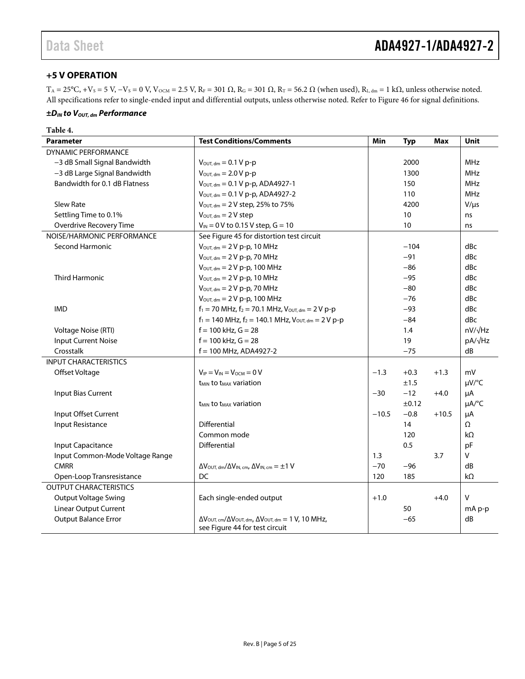## <span id="page-4-0"></span>**+5 V OPERATION**

 $T_A = 25^{\circ}C$ , +Vs = 5 V, -Vs = 0 V, V<sub>OCM</sub> = 2.5 V, R<sub>F</sub> = 301  $\Omega$ , R<sub>G</sub> = 301  $\Omega$ , R<sub>T</sub> = 56.2  $\Omega$  (when used), R<sub>L, dm</sub> = 1 k $\Omega$ , unless otherwise noted. All specifications refer to single-ended input and differential outputs, unless otherwise noted. Refer to [Figure 46](#page-16-2) for signal definitions.

#### *±DIN to VOUT, dm Performance*

| <b>Parameter</b>                | <b>Test Conditions/Comments</b>                                                                                                      | Min     | <b>Typ</b> | <b>Max</b> | <b>Unit</b>            |
|---------------------------------|--------------------------------------------------------------------------------------------------------------------------------------|---------|------------|------------|------------------------|
| <b>DYNAMIC PERFORMANCE</b>      |                                                                                                                                      |         |            |            |                        |
| -3 dB Small Signal Bandwidth    | $V_{\text{OUT, dm}} = 0.1 V p-p$                                                                                                     |         | 2000       |            | <b>MHz</b>             |
| -3 dB Large Signal Bandwidth    | $V_{\text{OUT, dm}} = 2.0 V p-p$                                                                                                     |         | 1300       |            | <b>MHz</b>             |
| Bandwidth for 0.1 dB Flatness   | $V_{\text{OUT, dm}} = 0.1 V p-p$ , ADA4927-1                                                                                         |         | 150        |            | <b>MHz</b>             |
|                                 | $V_{\text{OUT, dm}} = 0.1 V p-p$ , ADA4927-2                                                                                         |         | 110        |            | <b>MHz</b>             |
| Slew Rate                       | $V_{\text{OUT, dm}} = 2 V$ step, 25% to 75%                                                                                          |         | 4200       |            | $V/\mu s$              |
| Settling Time to 0.1%           | $V_{\text{OUT, dm}} = 2 V$ step                                                                                                      |         | 10         |            | ns                     |
| Overdrive Recovery Time         | $V_{IN} = 0 V$ to 0.15 V step, $G = 10$                                                                                              |         | 10         |            | ns                     |
| NOISE/HARMONIC PERFORMANCE      | See Figure 45 for distortion test circuit                                                                                            |         |            |            |                        |
| <b>Second Harmonic</b>          | $V_{\text{OUT, dm}} = 2 V p-p$ , 10 MHz                                                                                              |         | $-104$     |            | dBc                    |
|                                 | $V_{\text{OUT, dm}} = 2 V p-p$ , 70 MHz                                                                                              |         | $-91$      |            | dBc                    |
|                                 | $V_{\text{OUT, dm}} = 2 V p-p$ , 100 MHz                                                                                             |         | $-86$      |            | dBc                    |
| <b>Third Harmonic</b>           | $V_{\text{OUT, dm}} = 2 V p-p$ , 10 MHz                                                                                              |         | $-95$      |            | dBc                    |
|                                 | $V_{\text{OUT, dm}} = 2 V p-p$ , 70 MHz                                                                                              |         | $-80$      |            | dBc                    |
|                                 | $V_{\text{OUT, dm}} = 2 V p-p$ , 100 MHz                                                                                             |         | $-76$      |            | dBc                    |
| <b>IMD</b>                      | $f_1 = 70$ MHz, $f_2 = 70.1$ MHz, $V_{\text{OUT, dm}} = 2 V p-p$                                                                     |         | $-93$      |            | dBc                    |
|                                 | $f_1 = 140$ MHz, $f_2 = 140.1$ MHz, $V_{\text{OUT, dm}} = 2 V p-p$                                                                   |         | $-84$      |            | dBc                    |
| Voltage Noise (RTI)             | $f = 100$ kHz, $G = 28$                                                                                                              |         | 1.4        |            | $nV/\sqrt{Hz}$         |
| <b>Input Current Noise</b>      | $f = 100$ kHz, $G = 28$                                                                                                              |         | 19         |            | pA/√Hz                 |
| Crosstalk                       | $f = 100$ MHz, ADA4927-2                                                                                                             |         | $-75$      |            | dB                     |
| <b>INPUT CHARACTERISTICS</b>    |                                                                                                                                      |         |            |            |                        |
| Offset Voltage                  | $V_{IP} = V_{IN} = V_{OCM} = 0 V$                                                                                                    | $-1.3$  | $+0.3$     | $+1.3$     | mV                     |
|                                 | <b>t<sub>MIN</sub></b> to t <sub>MAX</sub> variation                                                                                 |         | ±1.5       |            | µV/°C                  |
| <b>Input Bias Current</b>       |                                                                                                                                      | $-30$   | $-12$      | $+4.0$     | μA                     |
|                                 | <b>t<sub>MIN</sub></b> to t <sub>MAX</sub> variation                                                                                 |         | ±0.12      |            | $\mu A$ <sup>o</sup> C |
| Input Offset Current            |                                                                                                                                      | $-10.5$ | $-0.8$     | $+10.5$    | μA                     |
| Input Resistance                | Differential                                                                                                                         |         | 14         |            | Ω                      |
|                                 | Common mode                                                                                                                          |         | 120        |            | kΩ                     |
| Input Capacitance               | Differential                                                                                                                         |         | 0.5        |            | pF                     |
| Input Common-Mode Voltage Range |                                                                                                                                      | 1.3     |            | 3.7        | V                      |
| <b>CMRR</b>                     | $\Delta V_{\text{OUT. dm}}/\Delta V_{\text{IN. cm}}$ , $\Delta V_{\text{IN. cm}} = \pm 1 \text{ V}$                                  | $-70$   | $-96$      |            | dB                     |
| Open-Loop Transresistance       | DC                                                                                                                                   | 120     | 185        |            | kΩ                     |
| <b>OUTPUT CHARACTERISTICS</b>   |                                                                                                                                      |         |            |            |                        |
| <b>Output Voltage Swing</b>     | Each single-ended output                                                                                                             | $+1.0$  |            | $+4.0$     | $\mathsf{V}$           |
| Linear Output Current           |                                                                                                                                      |         | 50         |            | mA p-p                 |
| <b>Output Balance Error</b>     | $\Delta V_{\text{OUT, cm}}/\Delta V_{\text{OUT, dm}}$ , $\Delta V_{\text{OUT, dm}} = 1$ V, 10 MHz,<br>see Figure 44 for test circuit |         | $-65$      |            | dB                     |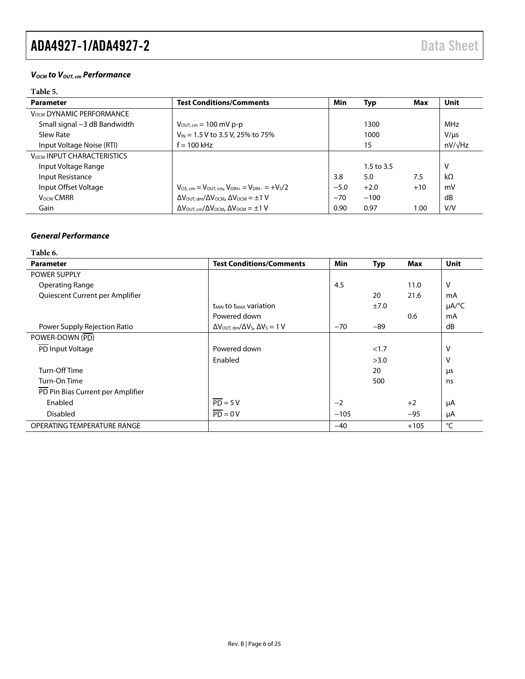### *VOCM to VOUT, cm Performance*

## **Table 5.**

| <b>Parameter</b>                  | <b>Test Conditions/Comments</b>                                                               | Min    | Typ          | Max   | <b>Unit</b>    |
|-----------------------------------|-----------------------------------------------------------------------------------------------|--------|--------------|-------|----------------|
| <b>VOCM DYNAMIC PERFORMANCE</b>   |                                                                                               |        |              |       |                |
| Small signal -3 dB Bandwidth      | $V_{\text{OUT, cm}} = 100 \text{ mV p-p}$                                                     |        | 1300         |       | MHz            |
| Slew Rate                         | $V_{IN}$ = 1.5 V to 3.5 V, 25% to 75%                                                         |        | 1000         |       | $V/ \mu s$     |
| Input Voltage Noise (RTI)         | $f = 100$ kHz                                                                                 |        | 15           |       | $nV/\sqrt{Hz}$ |
| <b>VOCM INPUT CHARACTERISTICS</b> |                                                                                               |        |              |       |                |
| Input Voltage Range               |                                                                                               |        | 1.5 to $3.5$ |       | v              |
| Input Resistance                  |                                                                                               | 3.8    | 5.0          | 7.5   | $k\Omega$      |
| Input Offset Voltage              | $V_{.05 \text{ cm}} = V_{.011 \text{ cm}}$ , $V_{.01N+} = V_{.01N-} = +V_{.5}/2$              | $-5.0$ | $+2.0$       | $+10$ | mV             |
| <b>VOCM CMRR</b>                  | $\Delta V_{\text{OUT. dm}}/\Delta V_{\text{OCM}}$ , $\Delta V_{\text{OCM}} = \pm 1 \text{ V}$ | $-70$  | $-100$       |       | dB             |
| Gain                              | $\Delta V_{\text{OUT. cm}}/\Delta V_{\text{OCM}}$ , $\Delta V_{\text{OCM}} = \pm 1 \text{ V}$ | 0.90   | 0.97         | 1.00  | V/V            |

## *General Performance*

**Table 6.** 

| <b>Parameter</b>                  | <b>Test Conditions/Comments</b>                                               | Min    | <b>Typ</b> | Max    | <b>Unit</b>            |
|-----------------------------------|-------------------------------------------------------------------------------|--------|------------|--------|------------------------|
| <b>POWER SUPPLY</b>               |                                                                               |        |            |        |                        |
| <b>Operating Range</b>            |                                                                               | 4.5    |            | 11.0   | V                      |
| Quiescent Current per Amplifier   |                                                                               |        | 20         | 21.6   | mA                     |
|                                   | <b>t<sub>MIN</sub></b> to t <sub>MAX</sub> variation                          |        | ±7.0       |        | $\mu A$ <sup>o</sup> C |
|                                   | Powered down                                                                  |        |            | 0.6    | mA                     |
| Power Supply Rejection Ratio      | $\Delta V_{\text{OUT. dm}}/\Delta V_{\text{S}}$ , $\Delta V_{\text{S}} = 1$ V | $-70$  | $-89$      |        | dB                     |
| POWER-DOWN (PD)                   |                                                                               |        |            |        |                        |
| PD Input Voltage                  | Powered down                                                                  |        | < 1.7      |        | V                      |
|                                   | Enabled                                                                       |        | >3.0       |        | V                      |
| Turn-Off Time                     |                                                                               |        | 20         |        | μs                     |
| Turn-On Time                      |                                                                               |        | 500        |        | ns                     |
| PD Pin Bias Current per Amplifier |                                                                               |        |            |        |                        |
| Enabled                           | $\overline{PD} = 5V$                                                          | $-2$   |            | $+2$   | μA                     |
| <b>Disabled</b>                   | $\overline{PD} = 0V$                                                          | $-105$ |            | $-95$  | μA                     |
| OPERATING TEMPERATURE RANGE       |                                                                               | $-40$  |            | $+105$ | °C                     |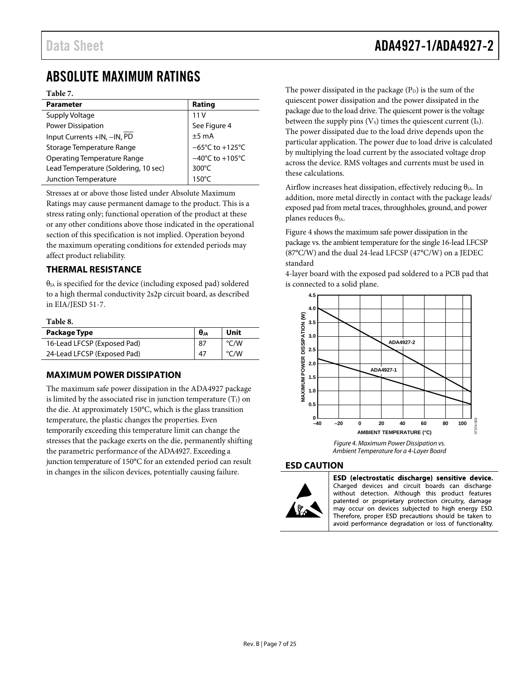## <span id="page-6-0"></span>ABSOLUTE MAXIMUM RATINGS

#### **Table 7.**

| <b>Parameter</b>                     | Rating                               |
|--------------------------------------|--------------------------------------|
| Supply Voltage                       | 11V                                  |
| <b>Power Dissipation</b>             | See Figure 4                         |
| Input Currents +IN, -IN, PD          | $±5$ mA                              |
| Storage Temperature Range            | $-65^{\circ}$ C to +125 $^{\circ}$ C |
| <b>Operating Temperature Range</b>   | $-40^{\circ}$ C to $+105^{\circ}$ C  |
| Lead Temperature (Soldering, 10 sec) | $300^{\circ}$ C                      |
| Junction Temperature                 | $150^{\circ}$ C                      |

<span id="page-6-1"></span>Stresses at or above those listed under Absolute Maximum

Ratings may cause permanent damage to the product. This is a stress rating only; functional operation of the product at these or any other conditions above those indicated in the operational section of this specification is not implied. Operation beyond the maximum operating conditions for extended periods may affect product reliability.

## **THERMAL RESISTANCE**

 $\theta_{JA}$  is specified for the device (including exposed pad) soldered to a high thermal conductivity 2s2p circuit board, as described in EIA/JESD 51-7.

#### **Table 8.**

| Package Type                | $\theta$ ja | Unit |
|-----------------------------|-------------|------|
| 16-Lead LFCSP (Exposed Pad) | 87          | °C/W |
| 24-Lead LFCSP (Exposed Pad) | 47          | °C/W |

## <span id="page-6-2"></span>**MAXIMUM POWER DISSIPATION**

<span id="page-6-4"></span>The maximum safe power dissipation in the ADA4927 package is limited by the associated rise in junction temperature  $(T<sub>J</sub>)$  on the die. At approximately 150°C, which is the glass transition temperature, the plastic changes the properties. Even temporarily exceeding this temperature limit can change the stresses that the package exerts on the die, permanently shifting the parametric performance of the ADA4927. Exceeding a junction temperature of 150°C for an extended period can result in changes in the silicon devices, potentially causing failure.

The power dissipated in the package  $(P_D)$  is the sum of the quiescent power dissipation and the power dissipated in the package due to the load drive. The quiescent power is the voltage between the supply pins  $(V_s)$  times the quiescent current  $(I_s)$ . The power dissipated due to the load drive depends upon the particular application. The power due to load drive is calculated by multiplying the load current by the associated voltage drop across the device. RMS voltages and currents must be used in these calculations.

Airflow increases heat dissipation, effectively reducing  $\theta_{JA}$ . In addition, more metal directly in contact with the package leads/ exposed pad from metal traces, throughholes, ground, and power planes reduces  $\theta_{JA}$ .

[Figure 4](#page-6-5) shows the maximum safe power dissipation in the package vs. the ambient temperature for the single 16-lead LFCSP (87°C/W) and the dual 24-lead LFCSP (47°C/W) on a JEDEC standard

4-layer board with the exposed pad soldered to a PCB pad that is connected to a solid plane.



*Figure 4. Maximum Power Dissipation vs. Ambient Temperature for a 4-Layer Board*

#### <span id="page-6-5"></span><span id="page-6-3"></span>**ESD CAUTION**



ESD (electrostatic discharge) sensitive device. Charged devices and circuit boards can discharge without detection. Although this product features patented or proprietary protection circuitry, damage may occur on devices subjected to high energy ESD. Therefore, proper ESD precautions should be taken to avoid performance degradation or loss of functionality.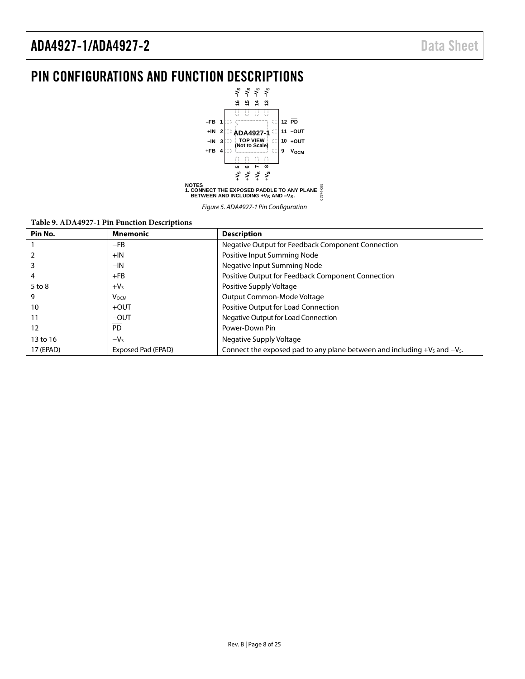## <span id="page-7-0"></span>PIN CONFIGURATIONS AND FUNCTION DESCRIPTIONS



Figure 5. ADA4927-1 Pin Configuration

#### **Table 9. ADA4927-1 Pin Function Descriptions**

| Pin No.   | Mnemonic           | <b>Description</b>                                                             |
|-----------|--------------------|--------------------------------------------------------------------------------|
|           | $-FB$              | Negative Output for Feedback Component Connection                              |
|           | $+IN$              | Positive Input Summing Node                                                    |
|           | $-IN$              | Negative Input Summing Node                                                    |
| 4         | $+FB$              | Positive Output for Feedback Component Connection                              |
| 5 to 8    | $+VS$              | Positive Supply Voltage                                                        |
| 9         | <b>V</b> осм       | Output Common-Mode Voltage                                                     |
| 10        | $+$ OUT            | Positive Output for Load Connection                                            |
| 11        | $-$ OUT            | Negative Output for Load Connection                                            |
| 12        | $\overline{PD}$    | Power-Down Pin                                                                 |
| 13 to 16  | $-V5$              | Negative Supply Voltage                                                        |
| 17 (EPAD) | Exposed Pad (EPAD) | Connect the exposed pad to any plane between and including $+V_s$ and $-V_s$ . |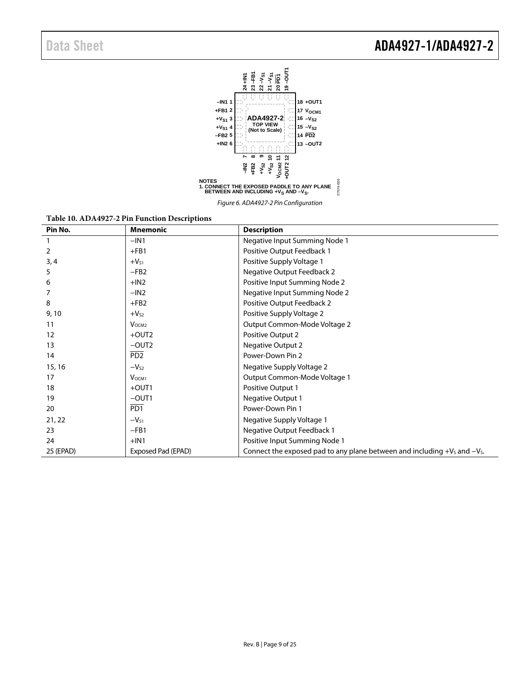

Figure 6. ADA4927-2 Pin Configuration

07574-006

| Pin No.   | <b>Mnemonic</b>             | <b>Description</b>                                                             |
|-----------|-----------------------------|--------------------------------------------------------------------------------|
|           | $-IN1$                      | Negative Input Summing Node 1                                                  |
| 2         | $+FB1$                      | Positive Output Feedback 1                                                     |
| 3, 4      | $+V_{51}$                   | Positive Supply Voltage 1                                                      |
| 5         | $-FB2$                      | Negative Output Feedback 2                                                     |
| 6         | $+IN2$                      | Positive Input Summing Node 2                                                  |
|           | $-IN2$                      | Negative Input Summing Node 2                                                  |
| 8         | $+FB2$                      | Positive Output Feedback 2                                                     |
| 9,10      | $+V_{52}$                   | Positive Supply Voltage 2                                                      |
| 11        | V <sub>OCM2</sub>           | Output Common-Mode Voltage 2                                                   |
| 12        | $+$ OUT2                    | Positive Output 2                                                              |
| 13        | $-$ OUT2                    | <b>Negative Output 2</b>                                                       |
| 14        | P <sub>D</sub> <sub>2</sub> | Power-Down Pin 2                                                               |
| 15, 16    | $-V_{S2}$                   | Negative Supply Voltage 2                                                      |
| 17        | V <sub>OCM1</sub>           | Output Common-Mode Voltage 1                                                   |
| 18        | $+$ OUT1                    | Positive Output 1                                                              |
| 19        | $-$ OUT1                    | <b>Negative Output 1</b>                                                       |
| 20        | PD <sub>1</sub>             | Power-Down Pin 1                                                               |
| 21, 22    | $-V_{51}$                   | Negative Supply Voltage 1                                                      |
| 23        | $-FB1$                      | Negative Output Feedback 1                                                     |
| 24        | $+IN1$                      | Positive Input Summing Node 1                                                  |
| 25 (EPAD) | Exposed Pad (EPAD)          | Connect the exposed pad to any plane between and including $+V_s$ and $-V_s$ . |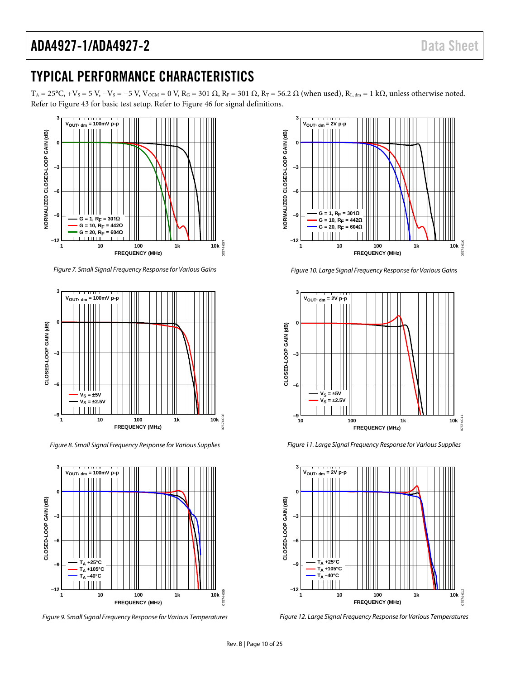## TYPICAL PERFORMANCE CHARACTERISTICS

 $T_A = 25\degree C$ ,  $+V_S = 5$  V,  $-V_S = -5$  V,  $V_{OCM} = 0$  V,  $R_G = 301 \Omega$ ,  $R_F = 301 \Omega$ ,  $R_T = 56.2 \Omega$  (when used),  $R_{L, dm} = 1$  k $\Omega$ , unless otherwise noted. Refer t[o Figure 43](#page-15-3) for basic test setup. Refer t[o Figure 46](#page-16-2) for signal definitions.



*Figure 7. Small Signal Frequency Response for Various Gains*



*Figure 8. Small Signal Frequency Response for Various Supplies*



*Figure 9. Small Signal Frequency Response for Various Temperatures*



*Figure 10. Large Signal Frequency Response for Various Gains*



*Figure 11. Large Signal Frequency Response for Various Supplies*



*Figure 12. Large Signal Frequency Response for Various Temperatures*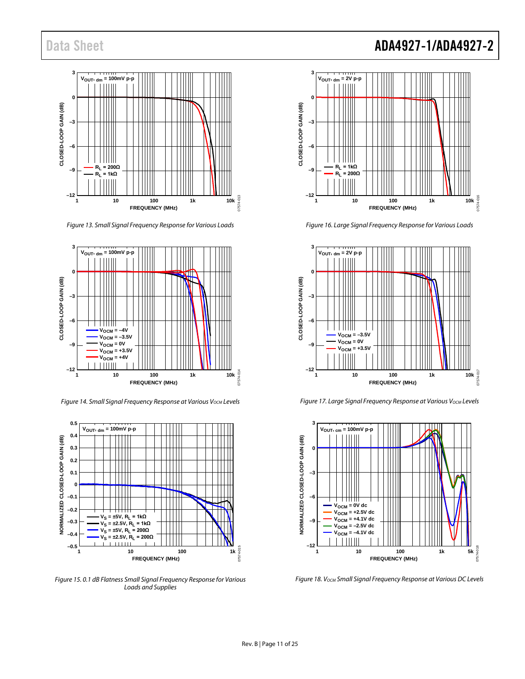

*Figure 13. Small Signal Frequency Response for Various Loads*



**Figure 14. Small Signal Frequency Response at Various V<sub>OCM</sub> Levels** 



*Figure 15. 0.1 dB Flatness Small Signal Frequency Response for Various Loads and Supplies*

# Data Sheet **ADA4927-1/ADA4927-2**



*Figure 16. Large Signal Frequency Response for Various Loads*



*Figure 17. Large Signal Frequency Response at Various V<sub>OCM</sub> Levels* 



*Figure 18. VOCM Small Signal Frequency Response at Various DC Levels*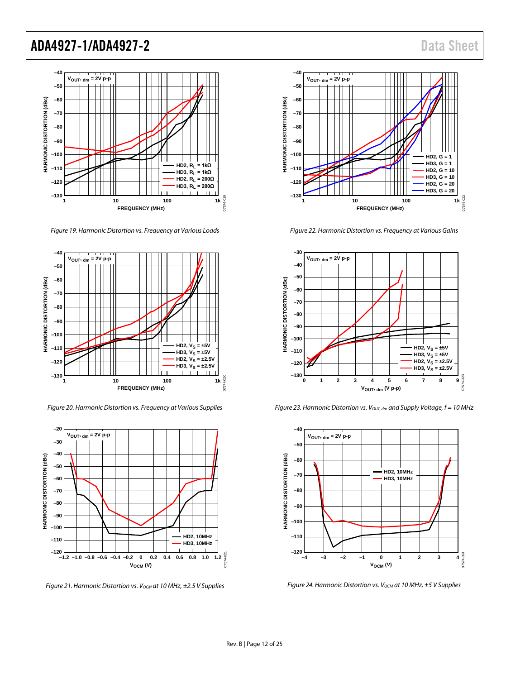

*Figure 19. Harmonic Distortion vs. Frequency at Various Loads*



*Figure 20. Harmonic Distortion vs. Frequency at Various Supplies*



*Figure 21. Harmonic Distortion vs. V<sub>OCM</sub> at 10 MHz, ±2.5 V Supplies* 



*Figure 22. Harmonic Distortion vs. Frequency at Various Gains*



*Figure 23. Harmonic Distortion vs. Vout, dm and Supply Voltage, f = 10 MHz* 



*Figure 24. Harmonic Distortion vs. V<sub>OCM</sub> at 10 MHz, ±5 V Supplies*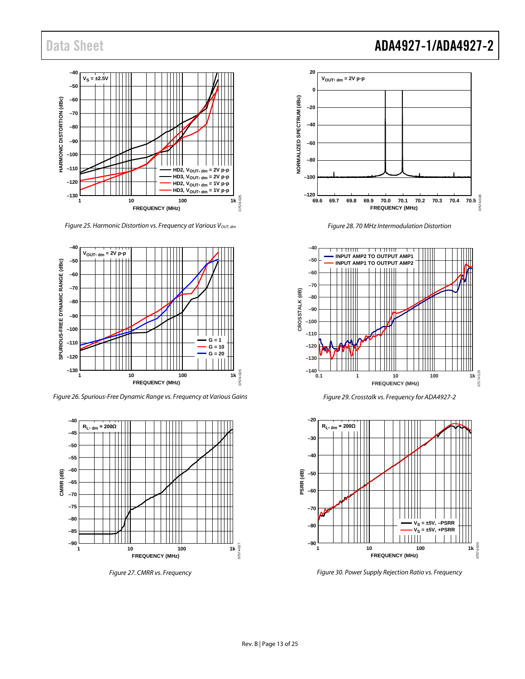

*Figure 25. Harmonic Distortion vs. Frequency at Various V<sub>OUT, dm</sub>* 



*Figure 26. Spurious-Free Dynamic Range vs. Frequency at Various Gains*



*Figure 27. CMRR vs. Frequency*

## Data Sheet **ADA4927-1/ADA4927-2**



*Figure 28. 70 MHz Intermodulation Distortion*



*Figure 29. Crosstalk vs. Frequency for ADA4927-2*



*Figure 30. Power Supply Rejection Ratio vs. Frequency*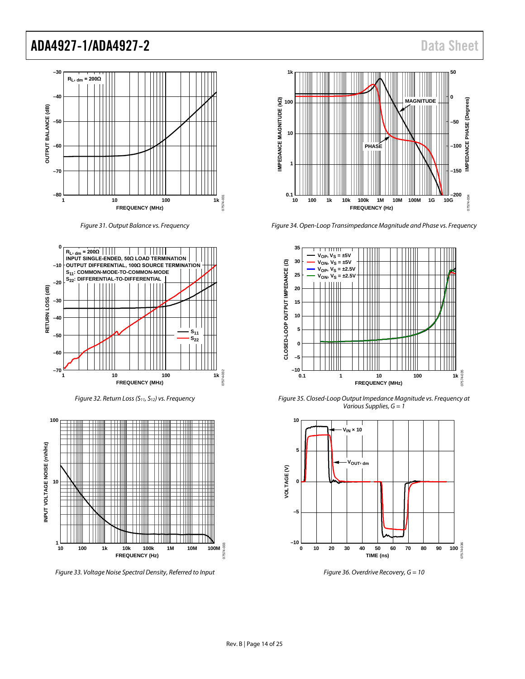

*Figure 31. Output Balance vs. Frequency*



*Figure 32. Return Loss (S11, S12) vs. Frequency*



*Figure 33. Voltage Noise Spectral Density, Referred to Input*



*Figure 34. Open-Loop Transimpedance Magnitude and Phase vs. Frequency*



*Figure 35. Closed-Loop Output Impedance Magnitude vs. Frequency at Various Supplies, G = 1*



*Figure 36. Overdrive Recovery, G = 10*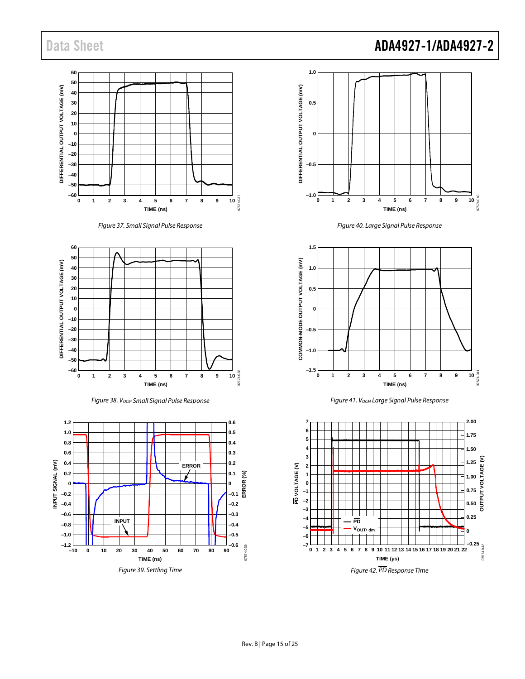

*Figure 37. Small Signal Pulse Response*



*Figure 38. VOCM Small Signal Pulse Response*







*Figure 40. Large Signal Pulse Response*



*Figure 41. VOCM Large Signal Pulse Response*

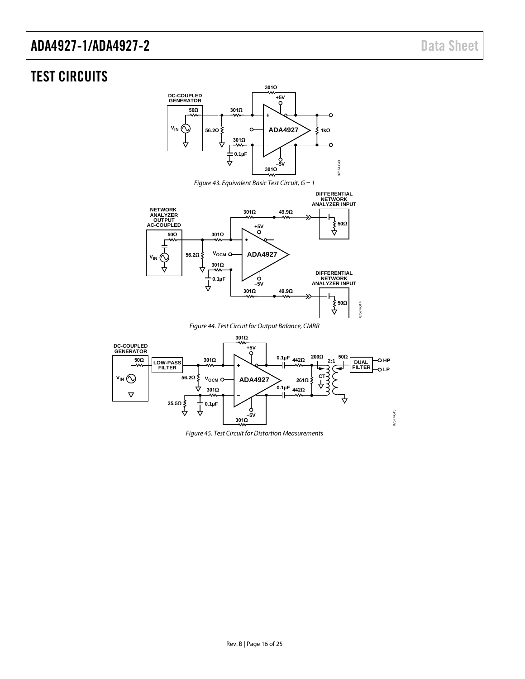## <span id="page-15-3"></span><span id="page-15-0"></span>TEST CIRCUITS







*Figure 44. Test Circuit for Output Balance, CMRR*

<span id="page-15-2"></span><span id="page-15-1"></span>

*Figure 45. Test Circuit for Distortion Measurements*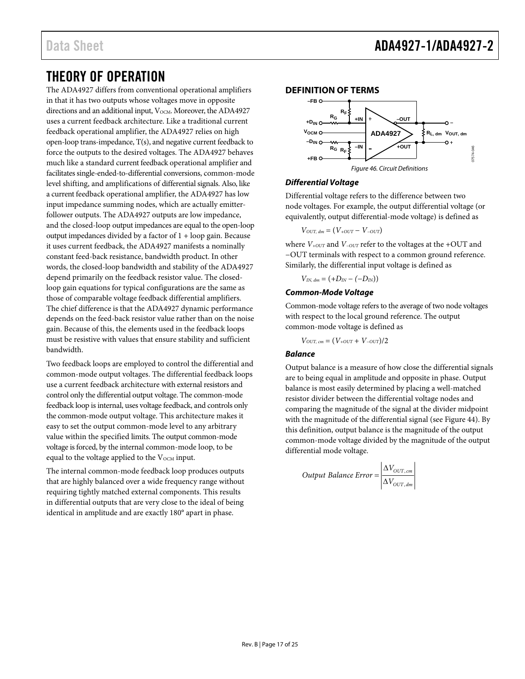## <span id="page-16-0"></span>THEORY OF OPERATION

The ADA4927 differs from conventional operational amplifiers in that it has two outputs whose voltages move in opposite directions and an additional input,  $V_{OCM}$ . Moreover, the ADA4927 uses a current feedback architecture. Like a traditional current feedback operational amplifier, the ADA4927 relies on high open-loop trans-impedance, T(s), and negative current feedback to force the outputs to the desired voltages. The ADA4927 behaves much like a standard current feedback operational amplifier and facilitates single-ended-to-differential conversions, common-mode level shifting, and amplifications of differential signals. Also, like a current feedback operational amplifier, the ADA4927 has low input impedance summing nodes, which are actually emitterfollower outputs. The ADA4927 outputs are low impedance, and the closed-loop output impedances are equal to the open-loop output impedances divided by a factor of 1 + loop gain. Because it uses current feedback, the ADA4927 manifests a nominally constant feed-back resistance, bandwidth product. In other words, the closed-loop bandwidth and stability of the ADA4927 depend primarily on the feedback resistor value. The closedloop gain equations for typical configurations are the same as those of comparable voltage feedback differential amplifiers. The chief difference is that the ADA4927 dynamic performance depends on the feed-back resistor value rather than on the noise gain. Because of this, the elements used in the feedback loops must be resistive with values that ensure stability and sufficient bandwidth.

Two feedback loops are employed to control the differential and common-mode output voltages. The differential feedback loops use a current feedback architecture with external resistors and control only the differential output voltage. The common-mode feedback loop is internal, uses voltage feedback, and controls only the common-mode output voltage. This architecture makes it easy to set the output common-mode level to any arbitrary value within the specified limits. The output common-mode voltage is forced, by the internal common-mode loop, to be equal to the voltage applied to the V<sub>OCM</sub> input.

The internal common-mode feedback loop produces outputs that are highly balanced over a wide frequency range without requiring tightly matched external components. This results in differential outputs that are very close to the ideal of being identical in amplitude and are exactly 180° apart in phase.

#### <span id="page-16-1"></span>**DEFINITION OF TERMS**



#### <span id="page-16-2"></span>**Differential Voltage**

Differential voltage refers to the difference between two node voltages. For example, the output differential voltage (or equivalently, output differential-mode voltage) is defined as

$$
V_{OUT, dm} = (V_{+OUT} - V_{-OUT})
$$

where *V+OUT* and *V−OUT* refer to the voltages at the +OUT and −OUT terminals with respect to a common ground reference. Similarly, the differential input voltage is defined as

$$
V_{I\!N,\,dm}=(+D_{I\!N}-(-D_{I\!N}))
$$

#### **Common-Mode Voltage**

Common-mode voltage refers to the average of two node voltages with respect to the local ground reference. The output common-mode voltage is defined as

 $V_{OUT, cm} = (V_{+OUT} + V_{-OUT})/2$ 

#### **Balance**

Output balance is a measure of how close the differential signals are to being equal in amplitude and opposite in phase. Output balance is most easily determined by placing a well-matched resistor divider between the differential voltage nodes and comparing the magnitude of the signal at the divider midpoint with the magnitude of the differential signal (see [Figure 44\)](#page-15-2). By this definition, output balance is the magnitude of the output common-mode voltage divided by the magnitude of the output differential mode voltage.

Output Balance Error = 
$$
\frac{\Delta V_{OUT, cm}}{\Delta V_{OUT, dm}}
$$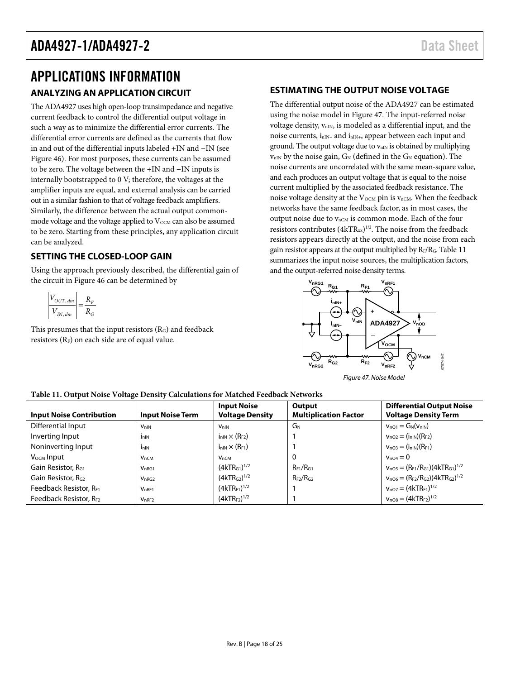## <span id="page-17-1"></span><span id="page-17-0"></span>APPLICATIONS INFORMATION **ANALYZING AN APPLICATION CIRCUIT**

The ADA4927 uses high open-loop transimpedance and negative current feedback to control the differential output voltage in such a way as to minimize the differential error currents. The differential error currents are defined as the currents that flow in and out of the differential inputs labeled +IN and −IN (see [Figure 46\)](#page-16-2). For most purposes, these currents can be assumed to be zero. The voltage between the +IN and −IN inputs is internally bootstrapped to 0 V; therefore, the voltages at the amplifier inputs are equal, and external analysis can be carried out in a similar fashion to that of voltage feedback amplifiers. Similarly, the difference between the actual output commonmode voltage and the voltage applied to  $V_{\text{OCM}}$  can also be assumed to be zero. Starting from these principles, any application circuit can be analyzed.

## <span id="page-17-2"></span>**SETTING THE CLOSED-LOOP GAIN**

Using the approach previously described, the differential gain of the circuit i[n Figure 46](#page-16-2) can be determined by

$$
\left| \frac{V_{OUT, dm}}{V_{IN, dm}} \right| = \frac{R_F}{R_G}
$$

This presumes that the input resistors (RG) and feedback resistors  $(R_F)$  on each side are of equal value.

## <span id="page-17-3"></span>**ESTIMATING THE OUTPUT NOISE VOLTAGE**

The differential output noise of the ADA4927 can be estimated using the noise model i[n Figure 47.](#page-17-4) The input-referred noise voltage density,  $v_{nIN}$ , is modeled as a differential input, and the noise currents, i<sub>nIN−</sub> and i<sub>nIN+</sub>, appear between each input and ground. The output voltage due to  $v_{nIN}$  is obtained by multiplying  $v_{nIN}$  by the noise gain,  $G_N$  (defined in the  $G_N$  equation). The noise currents are uncorrelated with the same mean-square value, and each produces an output voltage that is equal to the noise current multiplied by the associated feedback resistance. The noise voltage density at the  $V_{OCM}$  pin is  $v_{nCM}$ . When the feedback networks have the same feedback factor, as in most cases, the output noise due to  $v_{nCM}$  is common mode. Each of the four resistors contributes  $(4kTR_{xx})^{1/2}$ . The noise from the feedback resistors appears directly at the output, and the noise from each gain resistor appears at the output multiplied by RF/RG[. Table 11](#page-17-5) summarizes the input noise sources, the multiplication factors, and the output-referred noise density terms.



<span id="page-17-4"></span>*Figure 47. Noise Model*

<span id="page-17-5"></span>

| Table 11. Output Noise Voltage Density Calculations for Matched Feedback Networks |  |  |
|-----------------------------------------------------------------------------------|--|--|
|                                                                                   |  |  |

| <b>Input Noise Contribution</b> | <b>Input Noise Term</b> | <b>Input Noise</b><br><b>Voltage Density</b> | Output<br><b>Multiplication Factor</b> | <b>Differential Output Noise</b><br><b>Voltage Density Term</b> |
|---------------------------------|-------------------------|----------------------------------------------|----------------------------------------|-----------------------------------------------------------------|
| Differential Input              | <b>V<sub>nIN</sub></b>  | <b>V</b> <sub>nIN</sub>                      | GN                                     | $v_{nO1} = G_N(v_{nIN})$                                        |
| Inverting Input                 | $I_{nIN}$               | $i_{nlN}$ $\times$ (R <sub>F2</sub> )        |                                        | $V_{nO2} = (i_{nlN})(R_{F2})$                                   |
| Noninverting Input              | I <sub>n</sub>          | $i_{nIN} \times (R_{F1})$                    |                                        | $V_{nO3} = (i_{nIN})(R_{F1})$                                   |
| V <sub>осм</sub> Input          | $V_{nCM}$               | $V_{nCM}$                                    | 0                                      | $V_{nQ4} = 0$                                                   |
| Gain Resistor, RG1              | V <sub>nRG1</sub>       | (4kTR <sub>G1</sub> ) <sup>1/2</sup>         | $R_{F1}/R_{G1}$                        | $v_{nO5} = (R_{F1}/R_{G1})(4kTR_{G1})^{1/2}$                    |
| Gain Resistor, R <sub>G2</sub>  | V <sub>nRG2</sub>       | (4kTR <sub>G2</sub> ) <sup>1/2</sup>         | $R_{F2}/R_{G2}$                        | $V_{nO6} = (R_{F2}/R_{G2})(4kTR_{G2})^{1/2}$                    |
| Feedback Resistor, RF1          | V <sub>nRF1</sub>       | $(4kTR_{F1})^{1/2}$                          |                                        | $v_{nO7} = (4kTR_{F1})^{1/2}$                                   |
| Feedback Resistor, RF2          | $V_{nRF2}$              | $(4kTR_{F2})^{1/2}$                          |                                        | $V_{nOB} = (4kTR_{F2})^{1/2}$                                   |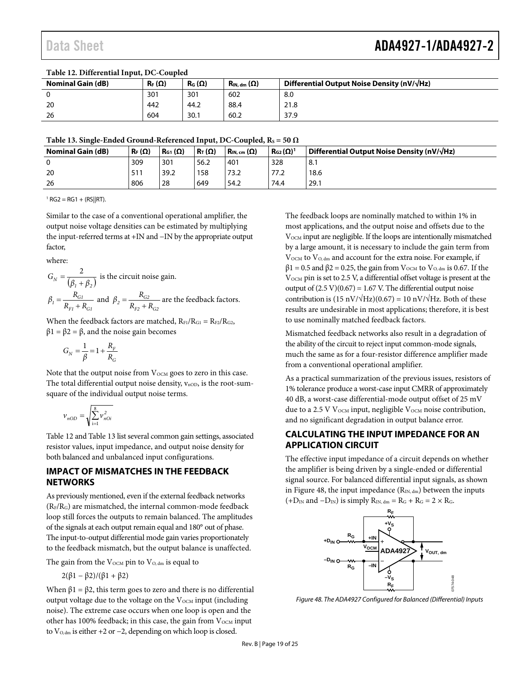| Table 12. D'hierennai mput, DC-Coupicu |               |               |                                                             |                                                      |  |
|----------------------------------------|---------------|---------------|-------------------------------------------------------------|------------------------------------------------------|--|
| <b>Nominal Gain (dB)</b>               | $R_F(\Omega)$ | $R_G(\Omega)$ | $\mathsf{R}_{\mathsf{IN}.\,\mathsf{dm}}\left(\Omega\right)$ | Differential Output Noise Density (nV/ $\sqrt{Hz}$ ) |  |
|                                        | 301           | 301           | 602                                                         | 8.0                                                  |  |
| 20                                     | 442           | 44.2          | 88.4                                                        | 21.8                                                 |  |
| -26                                    | 604           | 30.1          | 60.2                                                        | 37.9                                                 |  |

#### <span id="page-18-2"></span>**Table 12. Differential Input, DC-Coupled**

<span id="page-18-3"></span>Table 13. Single-Ended Ground-Referenced Input, DC-Coupled,  $R_S = 50 \Omega$ 

| $\sim$ wore considered the second contract the second company of the second contract of $\sim$<br>---- |                                   |                                        |                    |                                                      |  |  |
|--------------------------------------------------------------------------------------------------------|-----------------------------------|----------------------------------------|--------------------|------------------------------------------------------|--|--|
| <b>Nominal Gain (dB)</b><br>$\mathsf{R}_{\mathsf{F}}(\Omega)$                                          | $R_T(\Omega)$<br>$R_{G1}(\Omega)$ | $\mid$ R <sub>IN</sub> , cm $(\Omega)$ | $R_{G2}(\Omega)^1$ | Differential Output Noise Density (nV/ $\sqrt{Hz}$ ) |  |  |
| 309<br>0                                                                                               | 301<br>56.2                       | 401                                    | 328                | 8.1                                                  |  |  |
| -20<br>511                                                                                             | 39.2<br>158                       | 73.2                                   | 77.2               | 18.6                                                 |  |  |
| 806<br>28<br>26                                                                                        | 649                               | 54.2                                   | 74.4               | 29.1                                                 |  |  |

 $1 RG2 = RG1 + (RS||RT).$ 

Similar to the case of a conventional operational amplifier, the output noise voltage densities can be estimated by multiplying the input-referred terms at +IN and −IN by the appropriate output factor,

where:

$$
G_N = \frac{2}{(\beta_1 + \beta_2)}
$$
 is the circuit noise gain.  

$$
\beta_1 = \frac{R_{GI}}{R_{FI} + R_{GI}}
$$
 and  $\beta_2 = \frac{R_{G2}}{R_{F2} + R_{G2}}$  are the feedback factors.

When the feedback factors are matched,  $R_{F1}/R_{G1} = R_{F2}/R_{G2}$ ,  $β1 = β2 = β$ , and the noise gain becomes

$$
G_N = \frac{1}{\beta} = 1 + \frac{R_F}{R_G}
$$

Note that the output noise from  $V_{OCM}$  goes to zero in this case. The total differential output noise density,  $v_{\text{nOD}}$ , is the root-sumsquare of the individual output noise terms.

$$
\nu_{nOD}=\sqrt{\sum_{\rm i=1}^8 \nu_{nOi}^{\,2}}
$$

[Table 12](#page-18-2) an[d Table 13](#page-18-3) list several common gain settings, associated resistor values, input impedance, and output noise density for both balanced and unbalanced input configurations.

### <span id="page-18-0"></span>**IMPACT OF MISMATCHES IN THE FEEDBACK NETWORKS**

As previously mentioned, even if the external feedback networks  $(R_F/R_G)$  are mismatched, the internal common-mode feedback loop still forces the outputs to remain balanced. The amplitudes of the signals at each output remain equal and 180° out of phase. The input-to-output differential mode gain varies proportionately to the feedback mismatch, but the output balance is unaffected.

The gain from the  $V_{\text{OCM}}$  pin to  $V_{\text{O,dm}}$  is equal to

$$
2(\beta1-\beta2)/(\beta1+\beta2)
$$

When  $β1 = β2$ , this term goes to zero and there is no differential output voltage due to the voltage on the  $V_{OCM}$  input (including noise). The extreme case occurs when one loop is open and the other has 100% feedback; in this case, the gain from  $V_{\text{OCM}}$  input to V<sub>O, dm</sub> is either +2 or −2, depending on which loop is closed.

The feedback loops are nominally matched to within 1% in most applications, and the output noise and offsets due to the V<sub>OCM</sub> input are negligible. If the loops are intentionally mismatched by a large amount, it is necessary to include the gain term from  $V_{\text{OCM}}$  to  $V_{\text{O, dm}}$  and account for the extra noise. For example, if  $β1 = 0.5$  and  $β2 = 0.25$ , the gain from  $V<sub>OCM</sub>$  to  $V<sub>O,dm</sub>$  is 0.67. If the V<sub>OCM</sub> pin is set to 2.5 V, a differential offset voltage is present at the output of  $(2.5 V)(0.67) = 1.67 V$ . The differential output noise contribution is  $(15 \text{ nV}/\sqrt{\text{Hz}})(0.67) = 10 \text{ nV}/\sqrt{\text{Hz}}$ . Both of these results are undesirable in most applications; therefore, it is best to use nominally matched feedback factors.

Mismatched feedback networks also result in a degradation of the ability of the circuit to reject input common-mode signals, much the same as for a four-resistor difference amplifier made from a conventional operational amplifier.

As a practical summarization of the previous issues, resistors of 1% tolerance produce a worst-case input CMRR of approximately 40 dB, a worst-case differential-mode output offset of 25 mV due to a 2.5 V  $V_{OCM}$  input, negligible  $V_{OCM}$  noise contribution, and no significant degradation in output balance error.

## <span id="page-18-1"></span>**CALCULATING THE INPUT IMPEDANCE FOR AN APPLICATION CIRCUIT**

The effective input impedance of a circuit depends on whether the amplifier is being driven by a single-ended or differential signal source. For balanced differential input signals, as shown in [Figure 48,](#page-18-4) the input impedance  $(R_{IN, dm})$  between the inputs  $(+D_{IN}$  and  $-D_{IN}$ ) is simply  $R_{IN, dm} = R_G + R_G = 2 \times R_G$ .



<span id="page-18-4"></span>*Figure 48. The ADA4927 Configured for Balanced (Differential) Inputs*

07574-048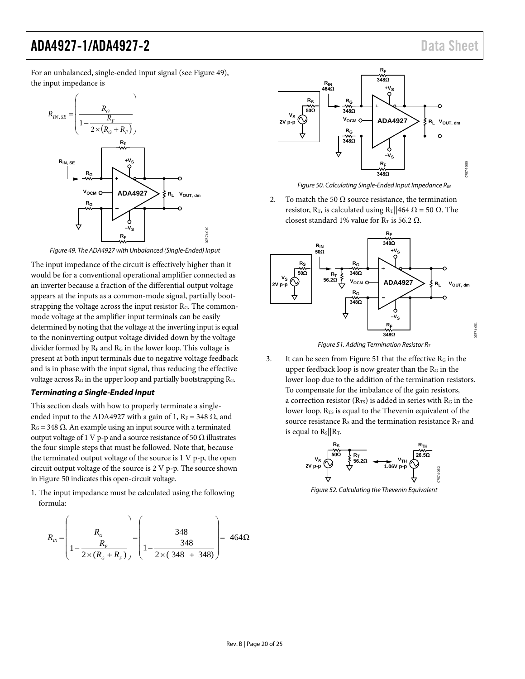07574-051

For an unbalanced, single-ended input signal (see [Figure 49\)](#page-19-0), the input impedance is



*Figure 49. The ADA4927 with Unbalanced (Single-Ended) Input*

<span id="page-19-0"></span>The input impedance of the circuit is effectively higher than it would be for a conventional operational amplifier connected as an inverter because a fraction of the differential output voltage appears at the inputs as a common-mode signal, partially bootstrapping the voltage across the input resistor RG. The commonmode voltage at the amplifier input terminals can be easily determined by noting that the voltage at the inverting input is equal to the noninverting output voltage divided down by the voltage divider formed by  $R_F$  and  $R_G$  in the lower loop. This voltage is present at both input terminals due to negative voltage feedback and is in phase with the input signal, thus reducing the effective voltage across  $R_G$  in the upper loop and partially bootstrapping  $R_G$ .

#### <span id="page-19-3"></span>*Terminating a Single-Ended Input*

This section deals with how to properly terminate a singleended input to the ADA4927 with a gain of 1,  $R_F = 348 \Omega$ , and  $R<sub>G</sub>$  = 348 Ω. An example using an input source with a terminated output voltage of 1 V p-p and a source resistance of 50  $Ω$  illustrates the four simple steps that must be followed. Note that, because the terminated output voltage of the source is 1 V p-p, the open circuit output voltage of the source is 2 V p-p. The source shown i[n Figure 50](#page-19-1) indicates this open-circuit voltage.

1. The input impedance must be calculated using the following formula:

$$
R_{IN} = \left(\frac{R_{G}}{1 - \frac{R_{F}}{2 \times (R_{G} + R_{F})}}\right) = \left(\frac{348}{1 - \frac{348}{2 \times (348 + 348)}}\right) = 464\Omega
$$



*Figure 50. Calculating Single-Ended Input Impedance RIN*

<span id="page-19-1"></span>2. To match the 50  $\Omega$  source resistance, the termination resistor, R<sub>T</sub>, is calculated using R<sub>T</sub>||464 Ω = 50 Ω. The closest standard 1% value for R<sub>T</sub> is 56.2  $\Omega$ .



*Figure 51. Adding Termination Resistor RT*

<span id="page-19-2"></span>3. It can be seen fro[m Figure 51](#page-19-2) that the effective  $R<sub>G</sub>$  in the upper feedback loop is now greater than the RG in the lower loop due to the addition of the termination resistors. To compensate for the imbalance of the gain resistors, a correction resistor  $(R_{TS})$  is added in series with  $R_G$  in the lower loop.  $R_{TS}$  is equal to the Thevenin equivalent of the source resistance  $R_s$  and the termination resistance  $R_T$  and is equal to  $R_s/|R_T$ .



*Figure 52. Calculating the Thevenin Equivalent*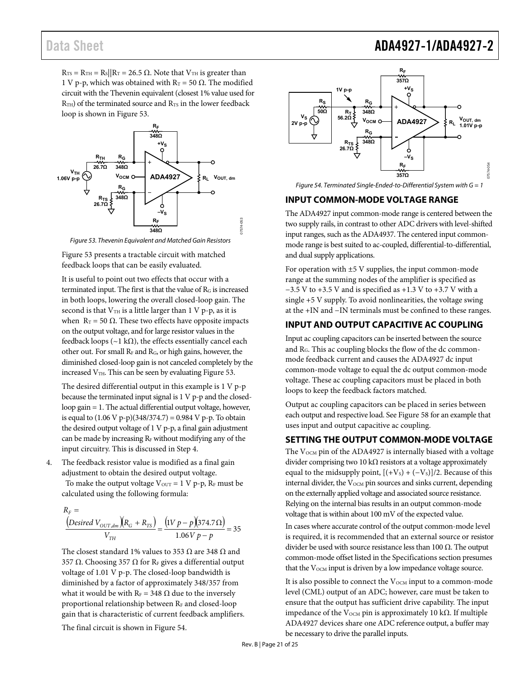## Data Sheet **ADA4927-1/ADA4927-2**

 $R_{TS} = R_{TH} = R_S || R_T = 26.5 \Omega$ . Note that  $V_{TH}$  is greater than 1 V p-p, which was obtained with R<sub>T</sub> = 50 Ω. The modified circuit with the Thevenin equivalent (closest 1% value used for R<sub>TH</sub>) of the terminated source and R<sub>TS</sub> in the lower feedback loop is shown i[n Figure 53.](#page-20-3)



Figure 53. Thevenin Equivalent and Matched Gain Resistors

<span id="page-20-3"></span>[Figure 53 p](#page-20-3)resents a tractable circuit with matched feedback loops that can be easily evaluated.

It is useful to point out two effects that occur with a terminated input. The first is that the value of  $R<sub>G</sub>$  is increased in both loops, lowering the overall closed-loop gain. The second is that  $V<sub>TH</sub>$  is a little larger than 1 V p-p, as it is when  $R_T$  = 50 Ω. These two effects have opposite impacts on the output voltage, and for large resistor values in the feedback loops ( $\sim$ 1 kΩ), the effects essentially cancel each other out. For small  $R_F$  and  $R_G$ , or high gains, however, the diminished closed-loop gain is not canceled completely by the increased  $V<sub>TH</sub>$ . This can be seen by evaluating Figure 53.

The desired differential output in this example is 1 V p-p because the terminated input signal is 1 V p-p and the closedloop gain = 1. The actual differential output voltage, however, is equal to (1.06 V p-p)(348/374.7) = 0.984 V p-p. To obtain the desired output voltage of 1 V p-p, a final gain adjustment can be made by increasing  $R<sub>F</sub>$  without modifying any of the input circuitry. This is discussed in Step 4.

4. The feedback resistor value is modified as a final gain adjustment to obtain the desired output voltage.

To make the output voltage  $V_{\text{OUT}} = 1 \text{ V p-p}$ ,  $R_F$  must be calculated using the following formula:

$$
\frac{R_F}{V_{D}} = \frac{(\text{Desired } V_{OUT,dm})(R_G + R_{TS})}{V_{TH}} = \frac{(\text{IV } p - p)(374.7 \,\Omega)}{1.06 \,\text{V } p - p} = 35
$$

The closest standard 1% values to 353  $\Omega$  are 348  $\Omega$  and 357 Ω. Choosing 357 Ω for R<sub>F</sub> gives a differential output voltage of 1.01 V p-p. The closed-loop bandwidth is diminished by a factor of approximately 348/357 from what it would be with  $R_F = 348 \Omega$  due to the inversely proportional relationship between RF and closed-loop gain that is characteristic of current feedback amplifiers.

The final circuit is shown i[n Figure 54.](#page-20-4)



<span id="page-20-4"></span>Figure 54. Terminated Single-Ended-to-Differential System with  $G = 1$ 

### <span id="page-20-0"></span>**INPUT COMMON-MODE VOLTAGE RANGE**

The ADA4927 input common-mode range is centered between the two supply rails, in contrast to other ADC drivers with level-shifted input ranges, such as the ADA4937. The centered input commonmode range is best suited to ac-coupled, differential-to-differential, and dual supply applications.

For operation with  $\pm$ 5 V supplies, the input common-mode range at the summing nodes of the amplifier is specified as  $-3.5$  V to  $+3.5$  V and is specified as  $+1.3$  V to  $+3.7$  V with a single +5 V supply. To avoid nonlinearities, the voltage swing at the +IN and −IN terminals must be confined to these ranges.

## <span id="page-20-1"></span>**INPUT AND OUTPUT CAPACITIVE AC COUPLING**

Input ac coupling capacitors can be inserted between the source and RG. This ac coupling blocks the flow of the dc commonmode feedback current and causes the ADA4927 dc input common-mode voltage to equal the dc output common-mode voltage. These ac coupling capacitors must be placed in both loops to keep the feedback factors matched.

Output ac coupling capacitors can be placed in series between each output and respective load. Se[e Figure 58](#page-23-1) for an example that uses input and output capacitive ac coupling.

## <span id="page-20-2"></span>**SETTING THE OUTPUT COMMON-MODE VOLTAGE**

The  $V_{OCM}$  pin of the ADA4927 is internally biased with a voltage divider comprising two 10 k $\Omega$  resistors at a voltage approximately equal to the midsupply point,  $[(+V<sub>S</sub>) + (-V<sub>S</sub>)]/2$ . Because of this internal divider, the  $V_{OCM}$  pin sources and sinks current, depending on the externally applied voltage and associated source resistance. Relying on the internal bias results in an output common-mode voltage that is within about 100 mV of the expected value.

In cases where accurate control of the output common-mode level is required, it is recommended that an external source or resistor divider be used with source resistance less than 100  $\Omega$ . The output common-mode offset listed in th[e Specifications s](#page-2-0)ection presumes that the  $V_{\text{OCM}}$  input is driven by a low impedance voltage source.

It is also possible to connect the  $V_{OCM}$  input to a common-mode level (CML) output of an ADC; however, care must be taken to ensure that the output has sufficient drive capability. The input impedance of the V<sub>OCM</sub> pin is approximately 10 kΩ. If multiple ADA4927 devices share one ADC reference output, a buffer may be necessary to drive the parallel inputs.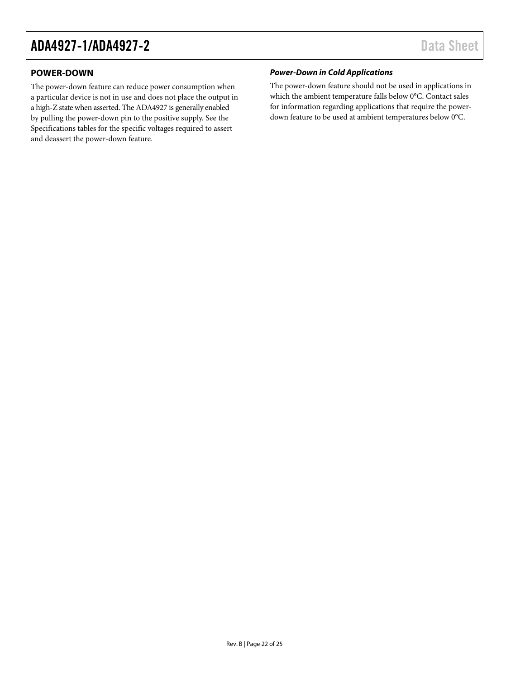## <span id="page-21-0"></span>**POWER-DOWN**

The power-down feature can reduce power consumption when a particular device is not in use and does not place the output in a high-Z state when asserted. The ADA4927 is generally enabled by pulling the power-down pin to the positive supply. See the [Specifications](#page-2-0) tables for the specific voltages required to assert and deassert the power-down feature.

### *Power-Down in Cold Applications*

The power-down feature should not be used in applications in which the ambient temperature falls below 0°C. Contact sales for information regarding applications that require the powerdown feature to be used at ambient temperatures below 0°C.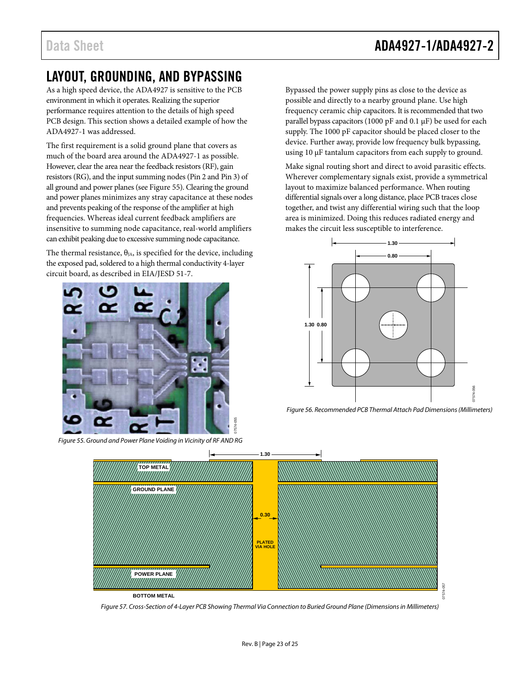# <span id="page-22-0"></span>LAYOUT, GROUNDING, AND BYPASSING

As a high speed device, the ADA4927 is sensitive to the PCB environment in which it operates. Realizing the superior performance requires attention to the details of high speed PCB design. This section shows a detailed example of how the ADA4927-1 was addressed.

The first requirement is a solid ground plane that covers as much of the board area around the ADA4927-1 as possible. However, clear the area near the feedback resistors (RF), gain resistors (RG), and the input summing nodes (Pin 2 and Pin 3) of all ground and power planes (see [Figure 55\)](#page-22-1). Clearing the ground and power planes minimizes any stray capacitance at these nodes and prevents peaking of the response of the amplifier at high frequencies. Whereas ideal current feedback amplifiers are insensitive to summing node capacitance, real-world amplifiers can exhibit peaking due to excessive summing node capacitance.

The thermal resistance,  $\theta_{JA}$ , is specified for the device, including the exposed pad, soldered to a high thermal conductivity 4-layer circuit board, as described in EIA/JESD 51-7.



*Figure 55. Ground and Power Plane Voiding in Vicinity of RF AND RG*

Bypassed the power supply pins as close to the device as possible and directly to a nearby ground plane. Use high frequency ceramic chip capacitors. It is recommended that two parallel bypass capacitors (1000 pF and 0.1  $\mu$ F) be used for each supply. The 1000 pF capacitor should be placed closer to the device. Further away, provide low frequency bulk bypassing, using 10 µF tantalum capacitors from each supply to ground.

Make signal routing short and direct to avoid parasitic effects. Wherever complementary signals exist, provide a symmetrical layout to maximize balanced performance. When routing differential signals over a long distance, place PCB traces close together, and twist any differential wiring such that the loop area is minimized. Doing this reduces radiated energy and makes the circuit less susceptible to interference.



*Figure 56. Recommended PCB Thermal Attach Pad Dimensions (Millimeters)*

<span id="page-22-1"></span>

*Figure 57. Cross-Section of 4-Layer PCB Showing Thermal Via Connection to Buried Ground Plane (Dimensions in Millimeters)*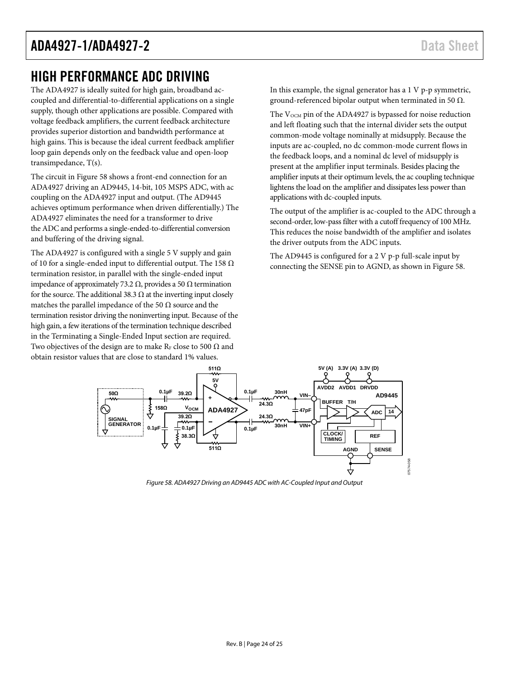## <span id="page-23-0"></span>HIGH PERFORMANCE ADC DRIVING

The ADA4927 is ideally suited for high gain, broadband accoupled and differential-to-differential applications on a single supply, though other applications are possible. Compared with voltage feedback amplifiers, the current feedback architecture provides superior distortion and bandwidth performance at high gains. This is because the ideal current feedback amplifier loop gain depends only on the feedback value and open-loop transimpedance, T(s).

The circuit i[n Figure 58](#page-23-1) shows a front-end connection for an ADA4927 driving an AD9445, 14-bit, 105 MSPS ADC, with ac coupling on the ADA4927 input and output. (The AD9445 achieves optimum performance when driven differentially.) The ADA4927 eliminates the need for a transformer to drive the ADC and performs a single-ended-to-differential conversion and buffering of the driving signal.

The ADA4927 is configured with a single 5 V supply and gain of 10 for a single-ended input to differential output. The 158 Ω termination resistor, in parallel with the single-ended input impedance of approximately 73.2 Ω, provides a 50 Ω termination for the source. The additional 38.3  $\Omega$  at the inverting input closely matches the parallel impedance of the 50  $\Omega$  source and the termination resistor driving the noninverting input. Because of the high gain, a few iterations of the termination technique described in the [Terminating a Single-Ended Input](#page-19-3) section are required. Two objectives of the design are to make RF close to 500  $\Omega$  and obtain resistor values that are close to standard 1% values.

In this example, the signal generator has a 1 V p-p symmetric, ground-referenced bipolar output when terminated in 50 Ω.

The V<sub>OCM</sub> pin of the ADA4927 is bypassed for noise reduction and left floating such that the internal divider sets the output common-mode voltage nominally at midsupply. Because the inputs are ac-coupled, no dc common-mode current flows in the feedback loops, and a nominal dc level of midsupply is present at the amplifier input terminals. Besides placing the amplifier inputs at their optimum levels, the ac coupling technique lightens the load on the amplifier and dissipates less power than applications with dc-coupled inputs.

The output of the amplifier is ac-coupled to the ADC through a second-order, low-pass filter with a cutoff frequency of 100 MHz. This reduces the noise bandwidth of the amplifier and isolates the driver outputs from the ADC inputs.

The AD9445 is configured for a 2 V p-p full-scale input by connecting the SENSE pin to AGND, as shown in [Figure 58.](#page-23-1)



<span id="page-23-1"></span>*Figure 58. ADA4927 Driving an AD9445 ADC with AC-Coupled Input and Output*